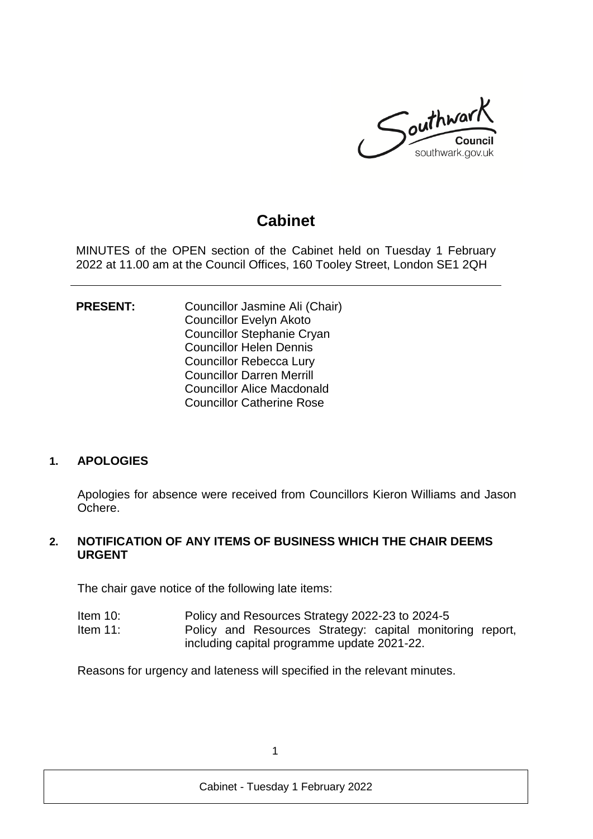

# **Cabinet**

MINUTES of the OPEN section of the Cabinet held on Tuesday 1 February 2022 at 11.00 am at the Council Offices, 160 Tooley Street, London SE1 2QH

**PRESENT:** Councillor Jasmine Ali (Chair) Councillor Evelyn Akoto Councillor Stephanie Cryan Councillor Helen Dennis Councillor Rebecca Lury Councillor Darren Merrill Councillor Alice Macdonald Councillor Catherine Rose

#### **1. APOLOGIES**

Apologies for absence were received from Councillors Kieron Williams and Jason Ochere.

### **2. NOTIFICATION OF ANY ITEMS OF BUSINESS WHICH THE CHAIR DEEMS URGENT**

The chair gave notice of the following late items:

- Item 10: Policy and Resources Strategy 2022-23 to 2024-5 Item 11: Policy and Resources Strategy: capital monitoring report,
	- including capital programme update 2021-22.

Reasons for urgency and lateness will specified in the relevant minutes.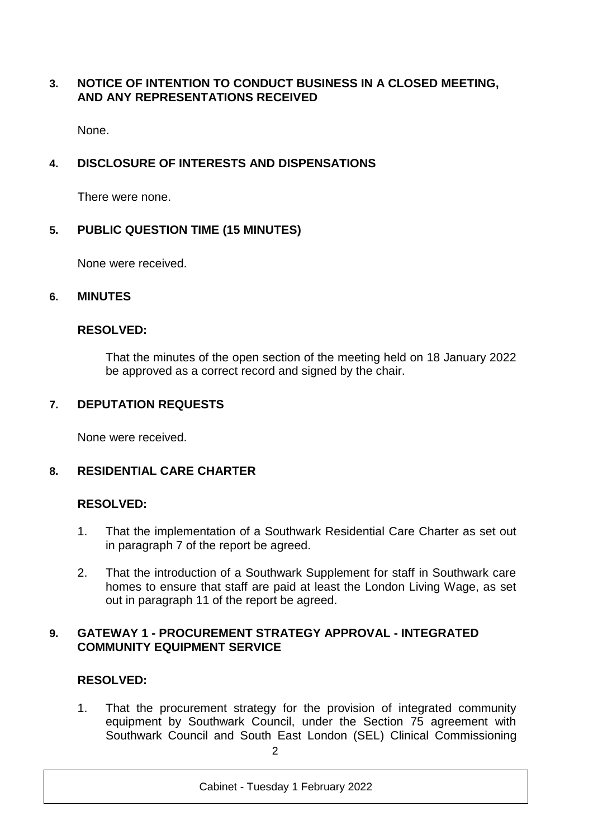# **3. NOTICE OF INTENTION TO CONDUCT BUSINESS IN A CLOSED MEETING, AND ANY REPRESENTATIONS RECEIVED**

None.

# **4. DISCLOSURE OF INTERESTS AND DISPENSATIONS**

There were none.

### **5. PUBLIC QUESTION TIME (15 MINUTES)**

None were received.

#### **6. MINUTES**

#### **RESOLVED:**

That the minutes of the open section of the meeting held on 18 January 2022 be approved as a correct record and signed by the chair.

#### **7. DEPUTATION REQUESTS**

None were received.

#### **8. RESIDENTIAL CARE CHARTER**

#### **RESOLVED:**

- 1. That the implementation of a Southwark Residential Care Charter as set out in paragraph 7 of the report be agreed.
- 2. That the introduction of a Southwark Supplement for staff in Southwark care homes to ensure that staff are paid at least the London Living Wage, as set out in paragraph 11 of the report be agreed.

# **9. GATEWAY 1 - PROCUREMENT STRATEGY APPROVAL - INTEGRATED COMMUNITY EQUIPMENT SERVICE**

# **RESOLVED:**

1. That the procurement strategy for the provision of integrated community equipment by Southwark Council, under the Section 75 agreement with Southwark Council and South East London (SEL) Clinical Commissioning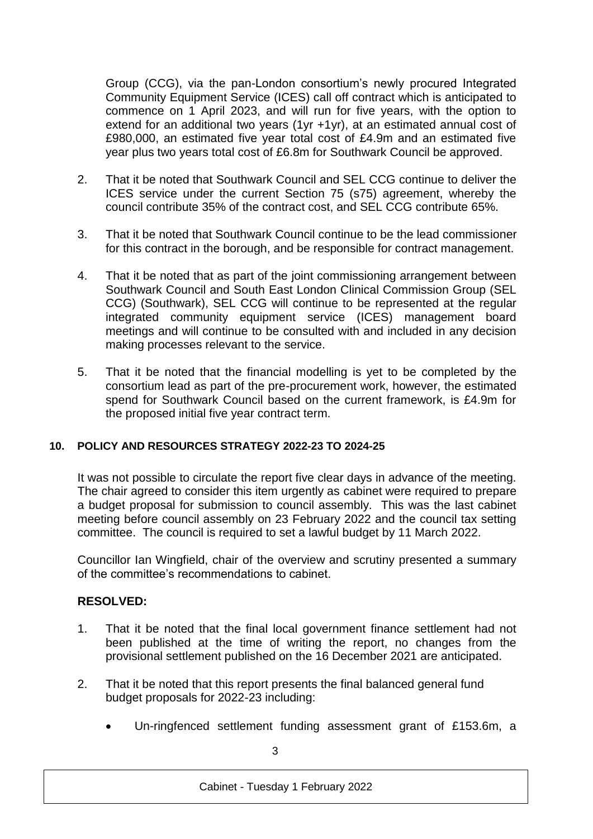Group (CCG), via the pan-London consortium's newly procured Integrated Community Equipment Service (ICES) call off contract which is anticipated to commence on 1 April 2023, and will run for five years, with the option to extend for an additional two years (1yr +1yr), at an estimated annual cost of £980,000, an estimated five year total cost of £4.9m and an estimated five year plus two years total cost of £6.8m for Southwark Council be approved.

- 2. That it be noted that Southwark Council and SEL CCG continue to deliver the ICES service under the current Section 75 (s75) agreement, whereby the council contribute 35% of the contract cost, and SEL CCG contribute 65%.
- 3. That it be noted that Southwark Council continue to be the lead commissioner for this contract in the borough, and be responsible for contract management.
- 4. That it be noted that as part of the joint commissioning arrangement between Southwark Council and South East London Clinical Commission Group (SEL CCG) (Southwark), SEL CCG will continue to be represented at the regular integrated community equipment service (ICES) management board meetings and will continue to be consulted with and included in any decision making processes relevant to the service.
- 5. That it be noted that the financial modelling is yet to be completed by the consortium lead as part of the pre-procurement work, however, the estimated spend for Southwark Council based on the current framework, is £4.9m for the proposed initial five year contract term.

#### **10. POLICY AND RESOURCES STRATEGY 2022-23 TO 2024-25**

It was not possible to circulate the report five clear days in advance of the meeting. The chair agreed to consider this item urgently as cabinet were required to prepare a budget proposal for submission to council assembly. This was the last cabinet meeting before council assembly on 23 February 2022 and the council tax setting committee. The council is required to set a lawful budget by 11 March 2022.

Councillor Ian Wingfield, chair of the overview and scrutiny presented a summary of the committee's recommendations to cabinet.

- 1. That it be noted that the final local government finance settlement had not been published at the time of writing the report, no changes from the provisional settlement published on the 16 December 2021 are anticipated.
- 2. That it be noted that this report presents the final balanced general fund budget proposals for 2022-23 including:
	- Un-ringfenced settlement funding assessment grant of £153.6m, a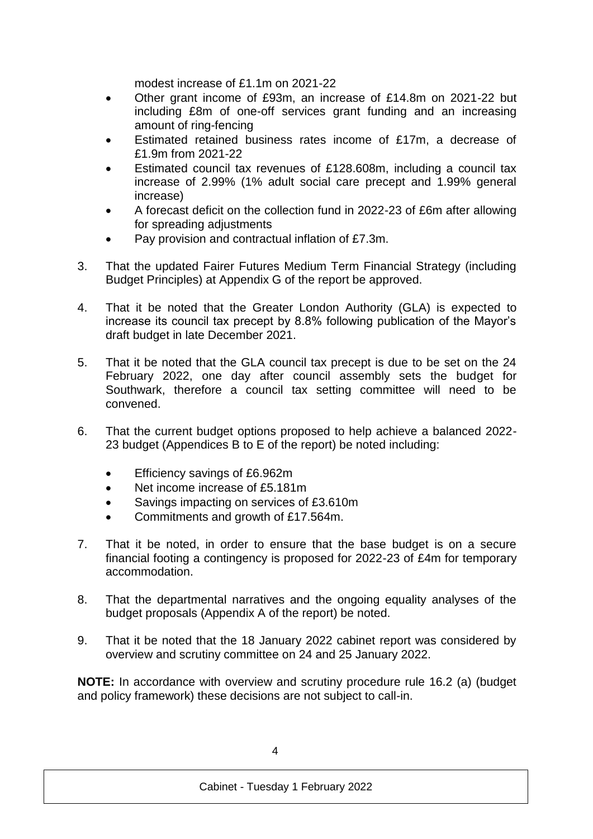modest increase of £1.1m on 2021-22

- Other grant income of £93m, an increase of £14.8m on 2021-22 but including £8m of one-off services grant funding and an increasing amount of ring-fencing
- Estimated retained business rates income of £17m, a decrease of £1.9m from 2021-22
- Estimated council tax revenues of £128.608m, including a council tax increase of 2.99% (1% adult social care precept and 1.99% general increase)
- A forecast deficit on the collection fund in 2022-23 of £6m after allowing for spreading adjustments
- Pay provision and contractual inflation of £7.3m.
- 3. That the updated Fairer Futures Medium Term Financial Strategy (including Budget Principles) at Appendix G of the report be approved.
- 4. That it be noted that the Greater London Authority (GLA) is expected to increase its council tax precept by 8.8% following publication of the Mayor's draft budget in late December 2021.
- 5. That it be noted that the GLA council tax precept is due to be set on the 24 February 2022, one day after council assembly sets the budget for Southwark, therefore a council tax setting committee will need to be convened.
- 6. That the current budget options proposed to help achieve a balanced 2022- 23 budget (Appendices B to E of the report) be noted including:
	- **Efficiency savings of £6.962m**
	- Net income increase of £5.181m
	- Savings impacting on services of £3.610m
	- Commitments and growth of £17.564m.
- 7. That it be noted, in order to ensure that the base budget is on a secure financial footing a contingency is proposed for 2022-23 of £4m for temporary accommodation.
- 8. That the departmental narratives and the ongoing equality analyses of the budget proposals (Appendix A of the report) be noted.
- 9. That it be noted that the 18 January 2022 cabinet report was considered by overview and scrutiny committee on 24 and 25 January 2022.

**NOTE:** In accordance with overview and scrutiny procedure rule 16.2 (a) (budget and policy framework) these decisions are not subject to call-in.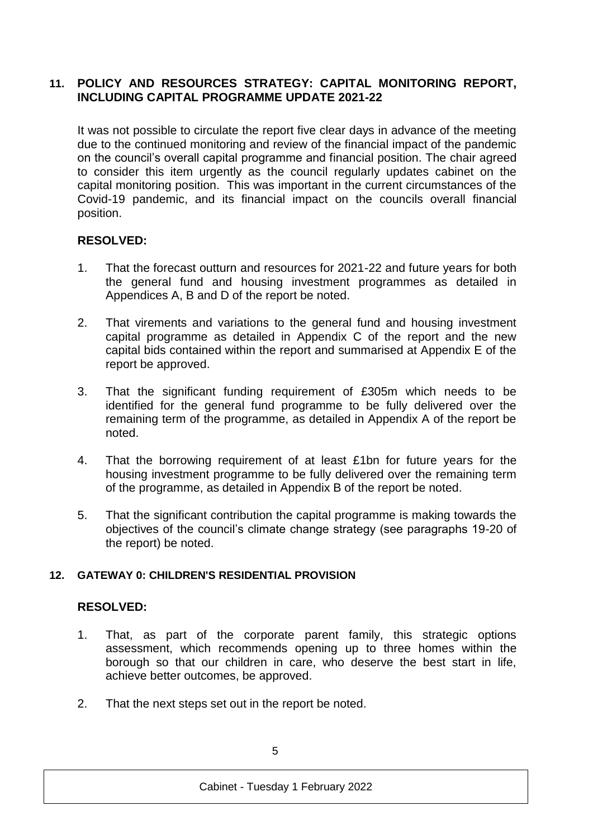### **11. POLICY AND RESOURCES STRATEGY: CAPITAL MONITORING REPORT, INCLUDING CAPITAL PROGRAMME UPDATE 2021-22**

It was not possible to circulate the report five clear days in advance of the meeting due to the continued monitoring and review of the financial impact of the pandemic on the council's overall capital programme and financial position. The chair agreed to consider this item urgently as the council regularly updates cabinet on the capital monitoring position. This was important in the current circumstances of the Covid-19 pandemic, and its financial impact on the councils overall financial position.

# **RESOLVED:**

- 1. That the forecast outturn and resources for 2021-22 and future years for both the general fund and housing investment programmes as detailed in Appendices A, B and D of the report be noted.
- 2. That virements and variations to the general fund and housing investment capital programme as detailed in Appendix C of the report and the new capital bids contained within the report and summarised at Appendix E of the report be approved.
- 3. That the significant funding requirement of £305m which needs to be identified for the general fund programme to be fully delivered over the remaining term of the programme, as detailed in Appendix A of the report be noted.
- 4. That the borrowing requirement of at least £1bn for future years for the housing investment programme to be fully delivered over the remaining term of the programme, as detailed in Appendix B of the report be noted.
- 5. That the significant contribution the capital programme is making towards the objectives of the council's climate change strategy (see paragraphs 19-20 of the report) be noted.

# **12. GATEWAY 0: CHILDREN'S RESIDENTIAL PROVISION**

- 1. That, as part of the corporate parent family, this strategic options assessment, which recommends opening up to three homes within the borough so that our children in care, who deserve the best start in life, achieve better outcomes, be approved.
- 2. That the next steps set out in the report be noted.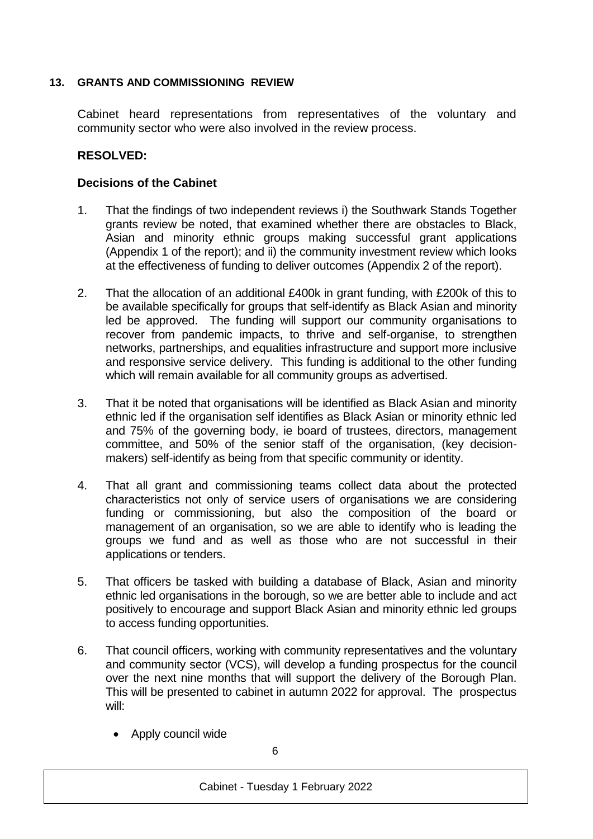#### **13. GRANTS AND COMMISSIONING REVIEW**

Cabinet heard representations from representatives of the voluntary and community sector who were also involved in the review process.

### **RESOLVED:**

### **Decisions of the Cabinet**

- 1. That the findings of two independent reviews i) the Southwark Stands Together grants review be noted, that examined whether there are obstacles to Black, Asian and minority ethnic groups making successful grant applications (Appendix 1 of the report); and ii) the community investment review which looks at the effectiveness of funding to deliver outcomes (Appendix 2 of the report).
- 2. That the allocation of an additional £400k in grant funding, with £200k of this to be available specifically for groups that self-identify as Black Asian and minority led be approved. The funding will support our community organisations to recover from pandemic impacts, to thrive and self-organise, to strengthen networks, partnerships, and equalities infrastructure and support more inclusive and responsive service delivery. This funding is additional to the other funding which will remain available for all community groups as advertised.
- 3. That it be noted that organisations will be identified as Black Asian and minority ethnic led if the organisation self identifies as Black Asian or minority ethnic led and 75% of the governing body, ie board of trustees, directors, management committee, and 50% of the senior staff of the organisation, (key decisionmakers) self-identify as being from that specific community or identity.
- 4. That all grant and commissioning teams collect data about the protected characteristics not only of service users of organisations we are considering funding or commissioning, but also the composition of the board or management of an organisation, so we are able to identify who is leading the groups we fund and as well as those who are not successful in their applications or tenders.
- 5. That officers be tasked with building a database of Black, Asian and minority ethnic led organisations in the borough, so we are better able to include and act positively to encourage and support Black Asian and minority ethnic led groups to access funding opportunities.
- 6. That council officers, working with community representatives and the voluntary and community sector (VCS), will develop a funding prospectus for the council over the next nine months that will support the delivery of the Borough Plan. This will be presented to cabinet in autumn 2022 for approval. The prospectus will:
	- Apply council wide

6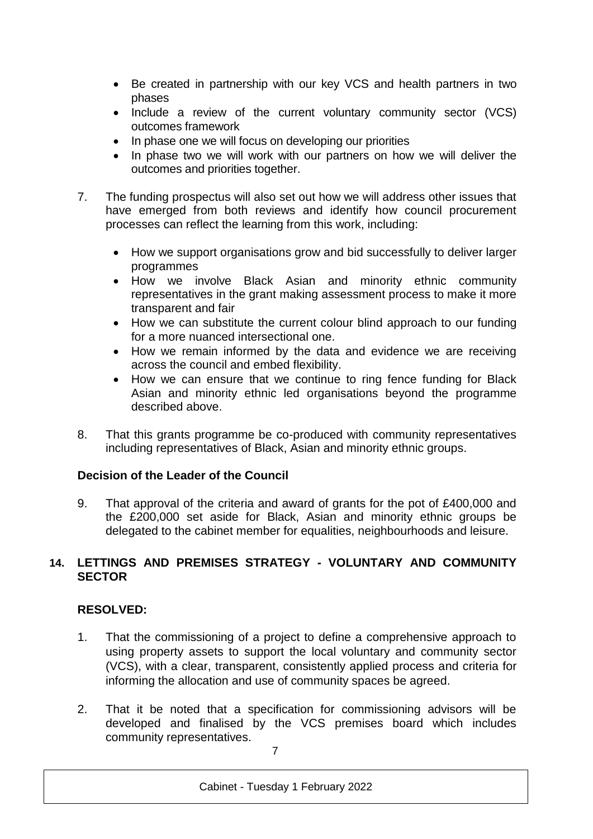- Be created in partnership with our key VCS and health partners in two phases
- Include a review of the current voluntary community sector (VCS) outcomes framework
- In phase one we will focus on developing our priorities
- In phase two we will work with our partners on how we will deliver the outcomes and priorities together.
- 7. The funding prospectus will also set out how we will address other issues that have emerged from both reviews and identify how council procurement processes can reflect the learning from this work, including:
	- How we support organisations grow and bid successfully to deliver larger programmes
	- How we involve Black Asian and minority ethnic community representatives in the grant making assessment process to make it more transparent and fair
	- How we can substitute the current colour blind approach to our funding for a more nuanced intersectional one.
	- How we remain informed by the data and evidence we are receiving across the council and embed flexibility.
	- How we can ensure that we continue to ring fence funding for Black Asian and minority ethnic led organisations beyond the programme described above.
- 8. That this grants programme be co-produced with community representatives including representatives of Black, Asian and minority ethnic groups.

# **Decision of the Leader of the Council**

9. That approval of the criteria and award of grants for the pot of £400,000 and the £200,000 set aside for Black, Asian and minority ethnic groups be delegated to the cabinet member for equalities, neighbourhoods and leisure.

### **14. LETTINGS AND PREMISES STRATEGY - VOLUNTARY AND COMMUNITY SECTOR**

- 1. That the commissioning of a project to define a comprehensive approach to using property assets to support the local voluntary and community sector (VCS), with a clear, transparent, consistently applied process and criteria for informing the allocation and use of community spaces be agreed.
- 2. That it be noted that a specification for commissioning advisors will be developed and finalised by the VCS premises board which includes community representatives.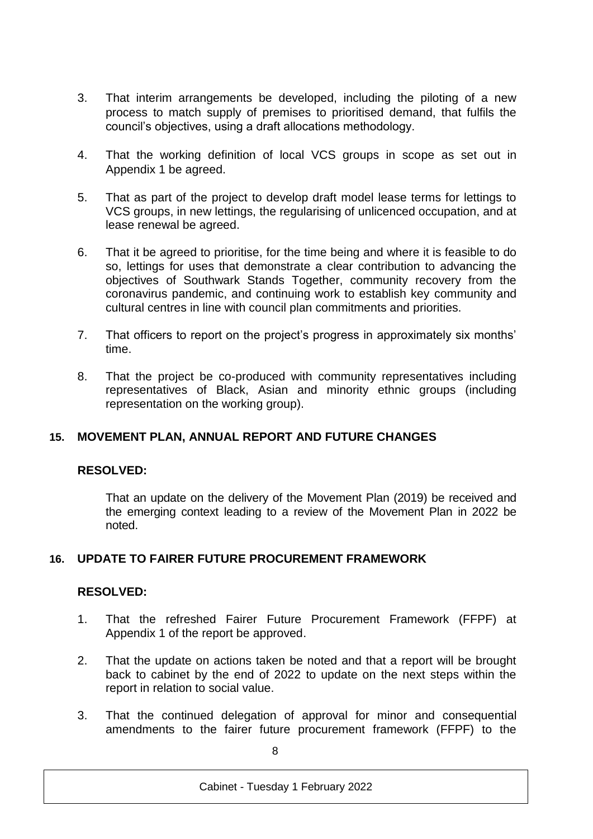- 3. That interim arrangements be developed, including the piloting of a new process to match supply of premises to prioritised demand, that fulfils the council's objectives, using a draft allocations methodology.
- 4. That the working definition of local VCS groups in scope as set out in Appendix 1 be agreed.
- 5. That as part of the project to develop draft model lease terms for lettings to VCS groups, in new lettings, the regularising of unlicenced occupation, and at lease renewal be agreed.
- 6. That it be agreed to prioritise, for the time being and where it is feasible to do so, lettings for uses that demonstrate a clear contribution to advancing the objectives of Southwark Stands Together, community recovery from the coronavirus pandemic, and continuing work to establish key community and cultural centres in line with council plan commitments and priorities.
- 7. That officers to report on the project's progress in approximately six months' time.
- 8. That the project be co-produced with community representatives including representatives of Black, Asian and minority ethnic groups (including representation on the working group).

# **15. MOVEMENT PLAN, ANNUAL REPORT AND FUTURE CHANGES**

# **RESOLVED:**

That an update on the delivery of the Movement Plan (2019) be received and the emerging context leading to a review of the Movement Plan in 2022 be noted.

# **16. UPDATE TO FAIRER FUTURE PROCUREMENT FRAMEWORK**

- 1. That the refreshed Fairer Future Procurement Framework (FFPF) at Appendix 1 of the report be approved.
- 2. That the update on actions taken be noted and that a report will be brought back to cabinet by the end of 2022 to update on the next steps within the report in relation to social value.
- 3. That the continued delegation of approval for minor and consequential amendments to the fairer future procurement framework (FFPF) to the